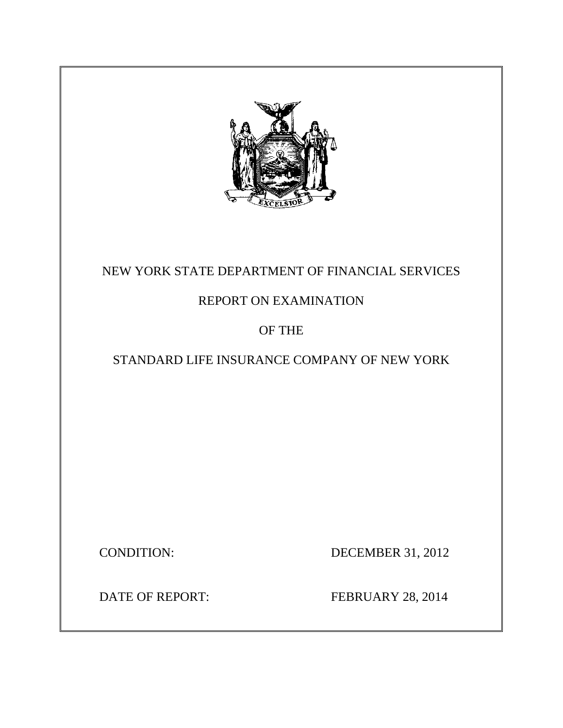

# NEW YORK STATE DEPARTMENT OF FINANCIAL SERVICES

# REPORT ON EXAMINATION

# OF THE

# STANDARD LIFE INSURANCE COMPANY OF NEW YORK

CONDITION: DECEMBER 31, 2012

DATE OF REPORT:

FEBRUARY 28, 2014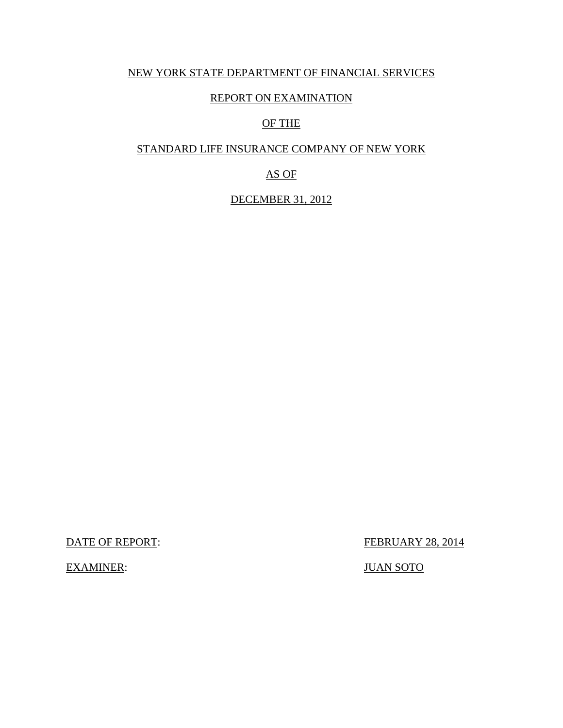### NEW YORK STATE DEPARTMENT OF FINANCIAL SERVICES

### REPORT ON EXAMINATION

# OF THE

### STANDARD LIFE INSURANCE COMPANY OF NEW YORK

AS OF

DECEMBER 31, 2012

**DATE OF REPORT:** 

FEBRUARY 28, 2014

EXAMINER: JUAN SOTO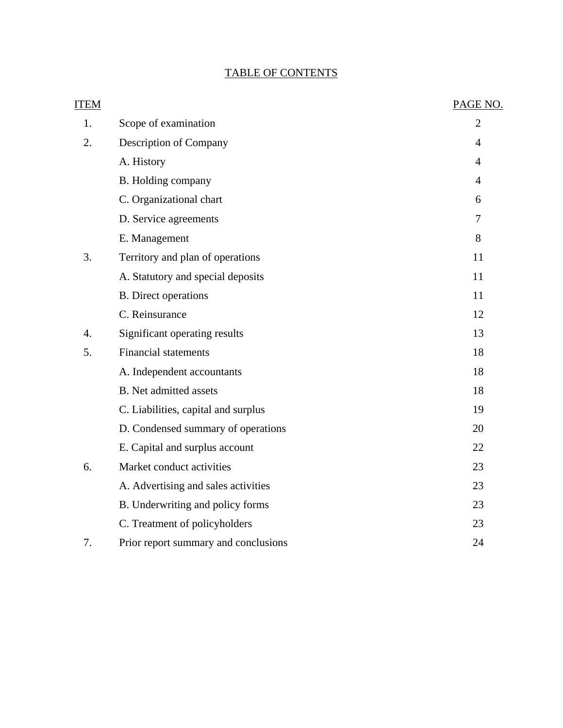# TABLE OF CONTENTS

| <b>ITEM</b>      |                                      | PAGE NO.       |
|------------------|--------------------------------------|----------------|
| 1.               | Scope of examination                 | $\overline{2}$ |
| 2.               | Description of Company               | $\overline{4}$ |
|                  | A. History                           | $\overline{4}$ |
|                  | B. Holding company                   | $\overline{4}$ |
|                  | C. Organizational chart              | 6              |
|                  | D. Service agreements                | $\overline{7}$ |
|                  | E. Management                        | 8              |
| 3.               | Territory and plan of operations     | 11             |
|                  | A. Statutory and special deposits    | 11             |
|                  | <b>B.</b> Direct operations          | 11             |
|                  | C. Reinsurance                       | 12             |
| $\overline{4}$ . | Significant operating results        | 13             |
| 5.               | <b>Financial statements</b>          | 18             |
|                  | A. Independent accountants           | 18             |
|                  | <b>B.</b> Net admitted assets        | 18             |
|                  | C. Liabilities, capital and surplus  | 19             |
|                  | D. Condensed summary of operations   | 20             |
|                  | E. Capital and surplus account       | 22             |
| 6.               | Market conduct activities            | 23             |
|                  | A. Advertising and sales activities  | 23             |
|                  | B. Underwriting and policy forms     | 23             |
|                  | C. Treatment of policyholders        | 23             |
| 7.               | Prior report summary and conclusions | 24             |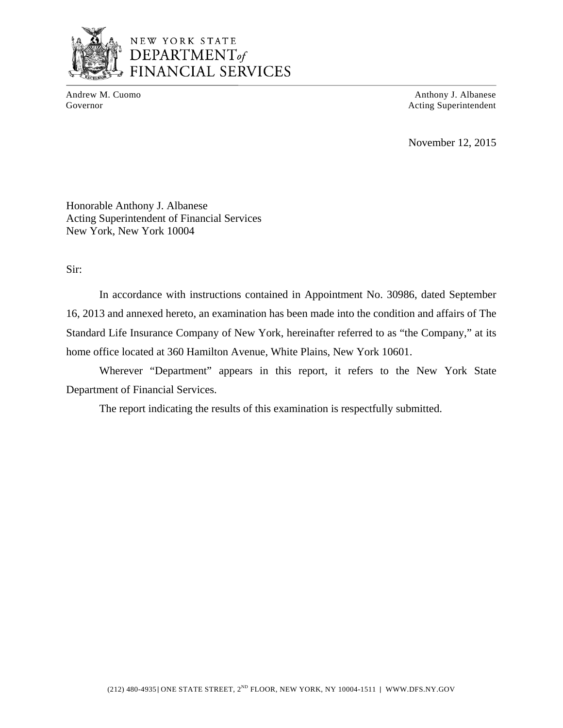

Andrew M. Cuomo Anthony J. Albanese Governor **Acting Superintendent** 

November 12, 2015

Honorable Anthony J. Albanese Acting Superintendent of Financial Services New York, New York 10004

Sir:

In accordance with instructions contained in Appointment No. 30986, dated September 16, 2013 and annexed hereto, an examination has been made into the condition and affairs of The Standard Life Insurance Company of New York, hereinafter referred to as "the Company," at its home office located at 360 Hamilton Avenue, White Plains, New York 10601.

Wherever "Department" appears in this report, it refers to the New York State Department of Financial Services.

The report indicating the results of this examination is respectfully submitted.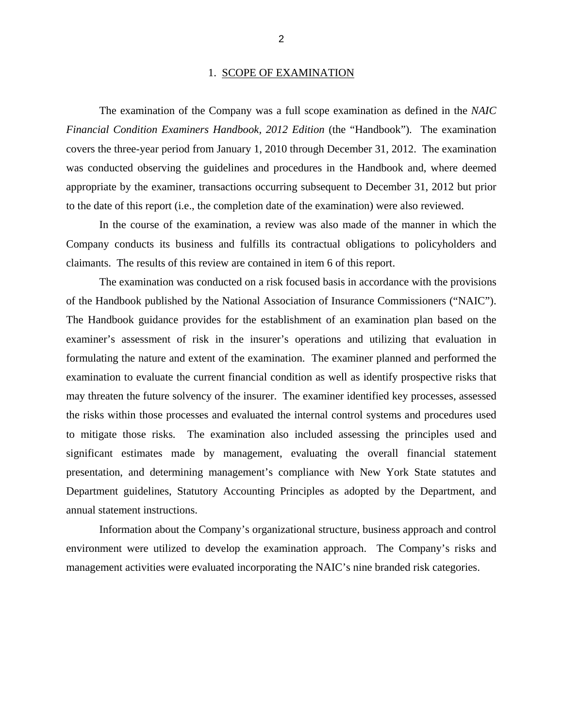#### 1. SCOPE OF EXAMINATION

<span id="page-4-0"></span>The examination of the Company was a full scope examination as defined in the *NAIC Financial Condition Examiners Handbook, 2012 Edition* (the "Handbook"). The examination covers the three-year period from January 1, 2010 through December 31, 2012. The examination was conducted observing the guidelines and procedures in the Handbook and, where deemed appropriate by the examiner, transactions occurring subsequent to December 31, 2012 but prior to the date of this report (i.e., the completion date of the examination) were also reviewed.

In the course of the examination, a review was also made of the manner in which the Company conducts its business and fulfills its contractual obligations to policyholders and claimants. The results of this review are contained in item 6 of this report.

The examination was conducted on a risk focused basis in accordance with the provisions of the Handbook published by the National Association of Insurance Commissioners ("NAIC"). The Handbook guidance provides for the establishment of an examination plan based on the examiner's assessment of risk in the insurer's operations and utilizing that evaluation in formulating the nature and extent of the examination. The examiner planned and performed the examination to evaluate the current financial condition as well as identify prospective risks that may threaten the future solvency of the insurer. The examiner identified key processes, assessed the risks within those processes and evaluated the internal control systems and procedures used to mitigate those risks. The examination also included assessing the principles used and significant estimates made by management, evaluating the overall financial statement presentation, and determining management's compliance with New York State statutes and Department guidelines, Statutory Accounting Principles as adopted by the Department, and annual statement instructions.

Information about the Company's organizational structure, business approach and control environment were utilized to develop the examination approach. The Company's risks and management activities were evaluated incorporating the NAIC's nine branded risk categories.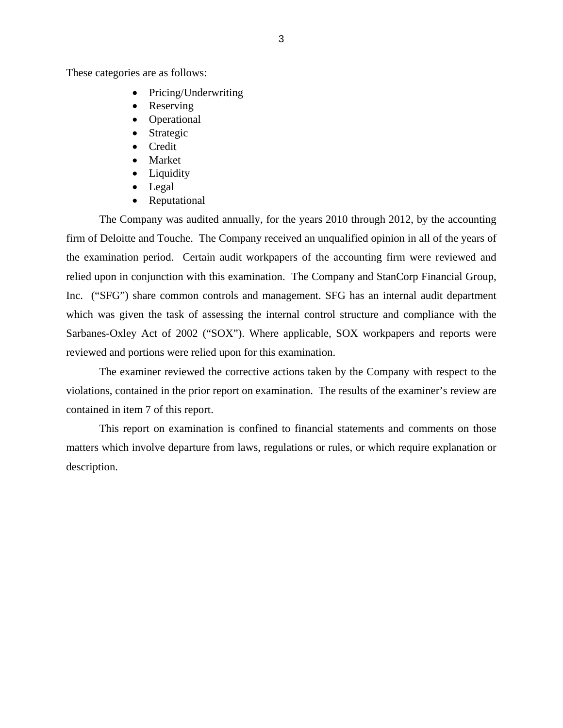These categories are as follows:

- Pricing/Underwriting
- Reserving
- Operational
- Strategic
- Credit
- Market
- Liquidity
- Legal
- Reputational

The Company was audited annually, for the years 2010 through 2012, by the accounting firm of Deloitte and Touche. The Company received an unqualified opinion in all of the years of the examination period. Certain audit workpapers of the accounting firm were reviewed and relied upon in conjunction with this examination. The Company and StanCorp Financial Group, Inc. ("SFG") share common controls and management. SFG has an internal audit department which was given the task of assessing the internal control structure and compliance with the Sarbanes-Oxley Act of 2002 ("SOX"). Where applicable, SOX workpapers and reports were reviewed and portions were relied upon for this examination.

The examiner reviewed the corrective actions taken by the Company with respect to the violations, contained in the prior report on examination. The results of the examiner's review are contained in item 7 of this report.

This report on examination is confined to financial statements and comments on those matters which involve departure from laws, regulations or rules, or which require explanation or description.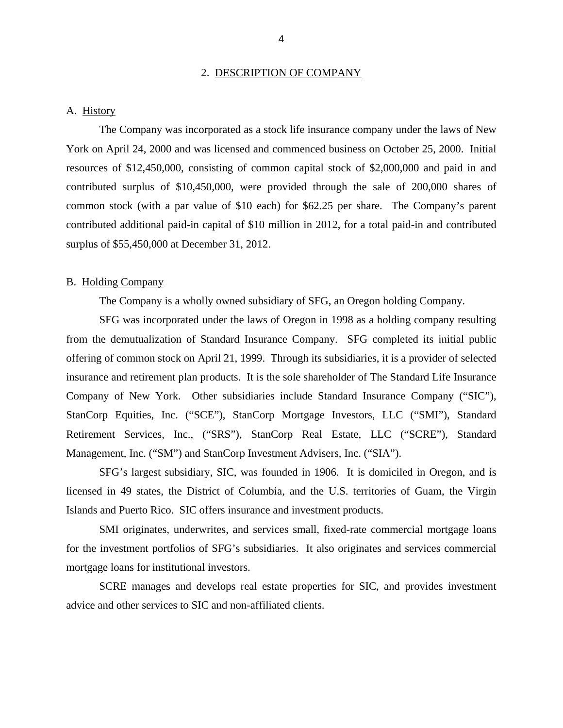#### 2. DESCRIPTION OF COMPANY

#### <span id="page-6-0"></span>A. History

The Company was incorporated as a stock life insurance company under the laws of New York on April 24, 2000 and was licensed and commenced business on October 25, 2000. Initial resources of \$12,450,000, consisting of common capital stock of \$2,000,000 and paid in and contributed surplus of \$10,450,000, were provided through the sale of 200,000 shares of common stock (with a par value of \$10 each) for \$62.25 per share. The Company's parent contributed additional paid-in capital of \$10 million in 2012, for a total paid-in and contributed surplus of \$55,450,000 at December 31, 2012.

#### B. Holding Company

The Company is a wholly owned subsidiary of SFG, an Oregon holding Company.

SFG was incorporated under the laws of Oregon in 1998 as a holding company resulting from the demutualization of Standard Insurance Company. SFG completed its initial public offering of common stock on April 21, 1999. Through its subsidiaries, it is a provider of selected insurance and retirement plan products. It is the sole shareholder of The Standard Life Insurance Company of New York. Other subsidiaries include Standard Insurance Company ("SIC"), StanCorp Equities, Inc. ("SCE"), StanCorp Mortgage Investors, LLC ("SMI"), Standard Retirement Services, Inc., ("SRS"), StanCorp Real Estate, LLC ("SCRE"), Standard Management, Inc. ("SM") and StanCorp Investment Advisers, Inc. ("SIA").

SFG's largest subsidiary, SIC, was founded in 1906. It is domiciled in Oregon, and is licensed in 49 states, the District of Columbia, and the U.S. territories of Guam, the Virgin Islands and Puerto Rico. SIC offers insurance and investment products.

SMI originates, underwrites, and services small, fixed-rate commercial mortgage loans for the investment portfolios of SFG's subsidiaries. It also originates and services commercial mortgage loans for institutional investors.

SCRE manages and develops real estate properties for SIC, and provides investment advice and other services to SIC and non-affiliated clients.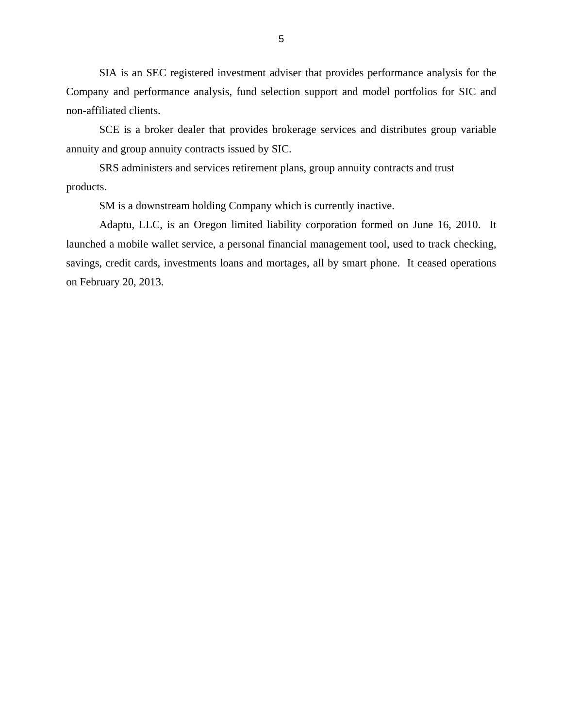SIA is an SEC registered investment adviser that provides performance analysis for the Company and performance analysis, fund selection support and model portfolios for SIC and non-affiliated clients.

SCE is a broker dealer that provides brokerage services and distributes group variable annuity and group annuity contracts issued by SIC.

SRS administers and services retirement plans, group annuity contracts and trust products.

SM is a downstream holding Company which is currently inactive.

Adaptu, LLC, is an Oregon limited liability corporation formed on June 16, 2010. It launched a mobile wallet service, a personal financial management tool, used to track checking, savings, credit cards, investments loans and mortages, all by smart phone. It ceased operations on February 20, 2013.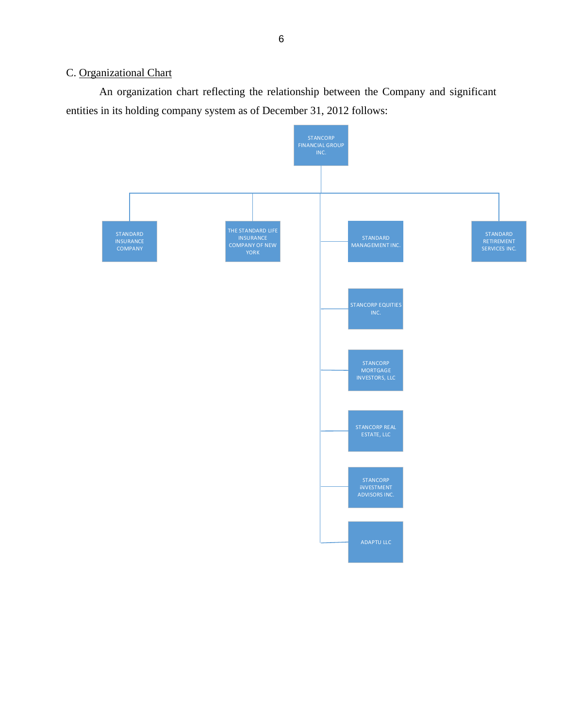# <span id="page-8-0"></span>C. Organizational Chart

An organization chart reflecting the relationship between the Company and significant entities in its holding company system as of December 31, 2012 follows:

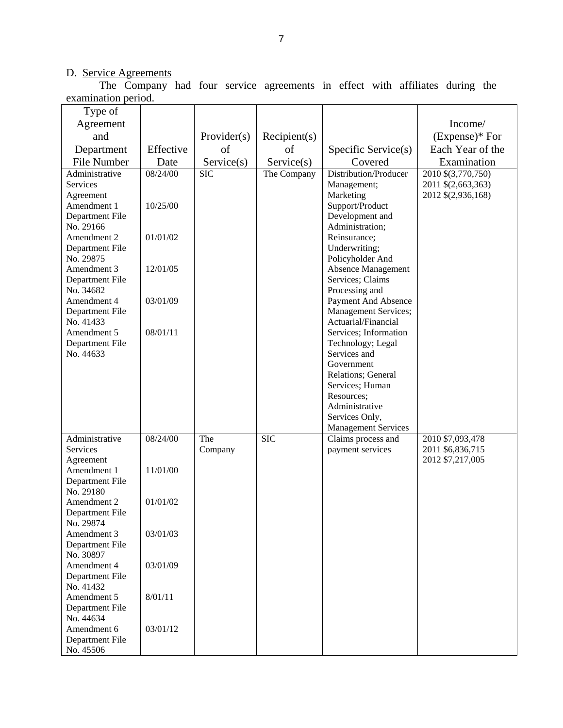#### D. Service Agreements

The Company had four service agreements in effect with affiliates during the examination period.

| Type of                                            |           |                |              |                                                                    |                                                                |
|----------------------------------------------------|-----------|----------------|--------------|--------------------------------------------------------------------|----------------------------------------------------------------|
| Agreement                                          |           |                |              |                                                                    | Income/                                                        |
| and                                                |           | Provider(s)    | Recipient(s) |                                                                    | $(Express)*$ For                                               |
| Department                                         | Effective | of             | of           | Specific Service(s)                                                | Each Year of the                                               |
| File Number                                        | Date      | Service(s)     | Service(s)   | Covered                                                            | Examination                                                    |
| Administrative<br>Services<br>Agreement            | 08/24/00  | <b>SIC</b>     | The Company  | Distribution/Producer<br>Management;<br>Marketing                  | 2010 \$(3,770,750)<br>2011 \$(2,663,363)<br>2012 \$(2,936,168) |
| Amendment 1<br>Department File<br>No. 29166        | 10/25/00  |                |              | Support/Product<br>Development and<br>Administration;              |                                                                |
| Amendment 2<br><b>Department File</b><br>No. 29875 | 01/01/02  |                |              | Reinsurance;<br>Underwriting;<br>Policyholder And                  |                                                                |
| Amendment 3<br><b>Department File</b><br>No. 34682 | 12/01/05  |                |              | <b>Absence Management</b><br>Services; Claims<br>Processing and    |                                                                |
| Amendment 4<br>Department File<br>No. 41433        | 03/01/09  |                |              | Payment And Absence<br>Management Services;<br>Actuarial/Financial |                                                                |
| Amendment 5<br>Department File<br>No. 44633        | 08/01/11  |                |              | Services; Information<br>Technology; Legal<br>Services and         |                                                                |
|                                                    |           |                |              | Government<br>Relations; General<br>Services; Human                |                                                                |
|                                                    |           |                |              | Resources;<br>Administrative<br>Services Only,                     |                                                                |
|                                                    |           |                |              | <b>Management Services</b>                                         |                                                                |
| Administrative<br>Services<br>Agreement            | 08/24/00  | The<br>Company | <b>SIC</b>   | Claims process and<br>payment services                             | 2010 \$7,093,478<br>2011 \$6,836,715<br>2012 \$7,217,005       |
| Amendment 1<br>Department File<br>No. 29180        | 11/01/00  |                |              |                                                                    |                                                                |
| Amendment 2<br>Department File<br>No. 29874        | 01/01/02  |                |              |                                                                    |                                                                |
| Amendment 3<br>Department File<br>No. 30897        | 03/01/03  |                |              |                                                                    |                                                                |
| Amendment 4<br>Department File<br>No. 41432        | 03/01/09  |                |              |                                                                    |                                                                |
| Amendment 5<br>Department File<br>No. 44634        | 8/01/11   |                |              |                                                                    |                                                                |
| Amendment 6<br>Department File<br>No. 45506        | 03/01/12  |                |              |                                                                    |                                                                |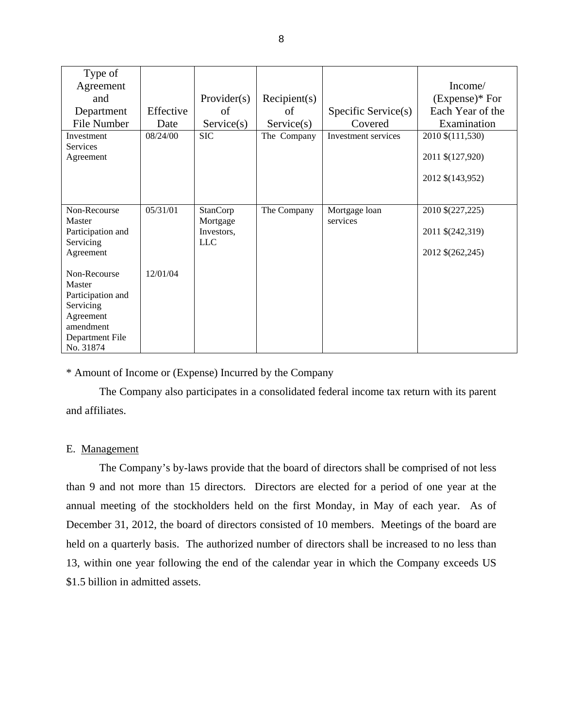| Type of                |           |                          |              |                     |                  |
|------------------------|-----------|--------------------------|--------------|---------------------|------------------|
| Agreement              |           |                          |              |                     | Income/          |
| and                    |           | Provider(s)              | Recipient(s) |                     | $(Express)*$ For |
| Department             | Effective | of                       | of           | Specific Service(s) | Each Year of the |
| File Number            | Date      | Service(s)               | Service(s)   | Covered             | Examination      |
| Investment             | 08/24/00  | <b>SIC</b>               | The Company  | Investment services | 2010 \$(111,530) |
| <b>Services</b>        |           |                          |              |                     |                  |
| Agreement              |           |                          |              |                     | 2011 \$(127,920) |
|                        |           |                          |              |                     | 2012 \$(143,952) |
|                        |           |                          |              |                     |                  |
|                        |           |                          |              |                     |                  |
| Non-Recourse           | 05/31/01  | <b>StanCorp</b>          | The Company  | Mortgage loan       | 2010 \$(227,225) |
| Master                 |           | Mortgage                 |              | services            |                  |
| Participation and      |           | Investors,<br><b>LLC</b> |              |                     | 2011 \$(242,319) |
| Servicing<br>Agreement |           |                          |              |                     | 2012 \$(262,245) |
|                        |           |                          |              |                     |                  |
| Non-Recourse           | 12/01/04  |                          |              |                     |                  |
| Master                 |           |                          |              |                     |                  |
| Participation and      |           |                          |              |                     |                  |
| Servicing              |           |                          |              |                     |                  |
| Agreement<br>amendment |           |                          |              |                     |                  |
| Department File        |           |                          |              |                     |                  |
| No. 31874              |           |                          |              |                     |                  |

\* Amount of Income or (Expense) Incurred by the Company

The Company also participates in a consolidated federal income tax return with its parent and affiliates.

#### E. Management

The Company's by-laws provide that the board of directors shall be comprised of not less than 9 and not more than 15 directors. Directors are elected for a period of one year at the annual meeting of the stockholders held on the first Monday, in May of each year. As of December 31, 2012, the board of directors consisted of 10 members. Meetings of the board are held on a quarterly basis. The authorized number of directors shall be increased to no less than 13, within one year following the end of the calendar year in which the Company exceeds US \$1.5 billion in admitted assets.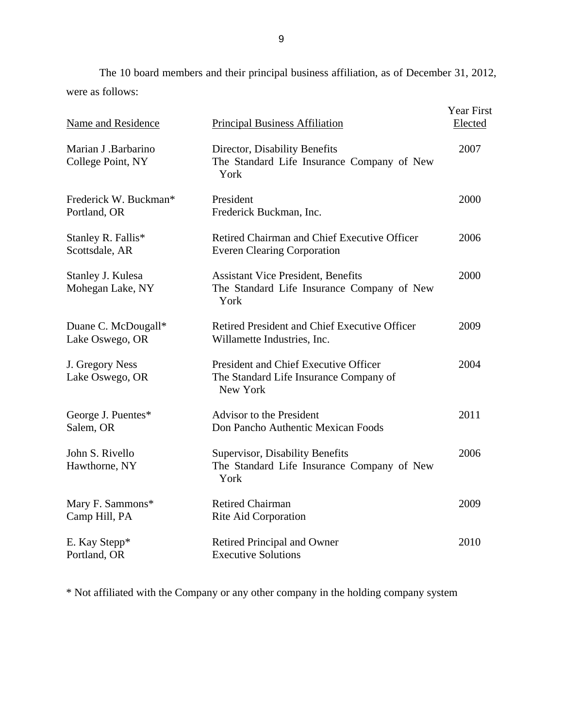The 10 board members and their principal business affiliation, as of December 31, 2012, were as follows:

| <b>Name and Residence</b>                | <b>Principal Business Affiliation</b>                                                           | Year First<br>Elected |
|------------------------------------------|-------------------------------------------------------------------------------------------------|-----------------------|
| Marian J .Barbarino<br>College Point, NY | Director, Disability Benefits<br>The Standard Life Insurance Company of New<br>York             | 2007                  |
| Frederick W. Buckman*<br>Portland, OR    | President<br>Frederick Buckman, Inc.                                                            | 2000                  |
| Stanley R. Fallis*<br>Scottsdale, AR     | Retired Chairman and Chief Executive Officer<br><b>Everen Clearing Corporation</b>              | 2006                  |
| Stanley J. Kulesa<br>Mohegan Lake, NY    | <b>Assistant Vice President, Benefits</b><br>The Standard Life Insurance Company of New<br>York | 2000                  |
| Duane C. McDougall*<br>Lake Oswego, OR   | Retired President and Chief Executive Officer<br>Willamette Industries, Inc.                    | 2009                  |
| J. Gregory Ness<br>Lake Oswego, OR       | President and Chief Executive Officer<br>The Standard Life Insurance Company of<br>New York     | 2004                  |
| George J. Puentes*<br>Salem, OR          | Advisor to the President<br>Don Pancho Authentic Mexican Foods                                  | 2011                  |
| John S. Rivello<br>Hawthorne, NY         | Supervisor, Disability Benefits<br>The Standard Life Insurance Company of New<br>York           | 2006                  |
| Mary F. Sammons*<br>Camp Hill, PA        | <b>Retired Chairman</b><br>Rite Aid Corporation                                                 | 2009                  |
| E. Kay Stepp*<br>Portland, OR            | Retired Principal and Owner<br><b>Executive Solutions</b>                                       | 2010                  |

\* Not affiliated with the Company or any other company in the holding company system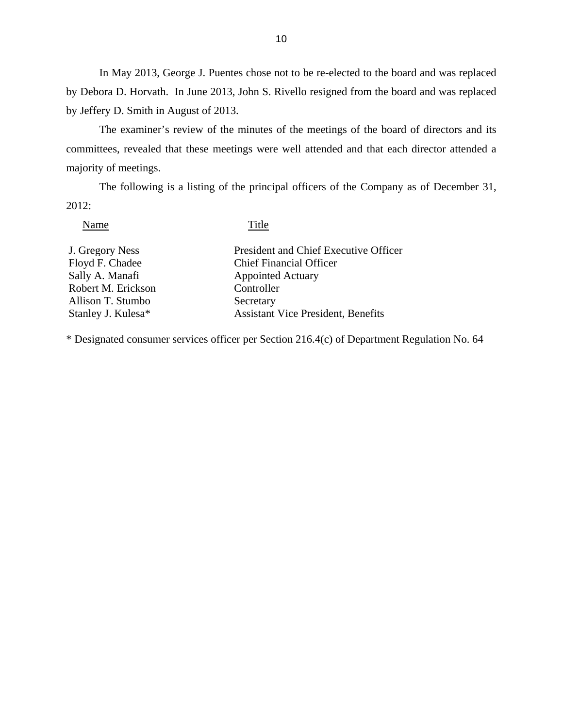In May 2013, George J. Puentes chose not to be re-elected to the board and was replaced by Debora D. Horvath. In June 2013, John S. Rivello resigned from the board and was replaced by Jeffery D. Smith in August of 2013.

The examiner's review of the minutes of the meetings of the board of directors and its committees, revealed that these meetings were well attended and that each director attended a majority of meetings.

The following is a listing of the principal officers of the Company as of December 31, 2012:

Name Title

| J. Gregory Ness    | President and Chief Executive Officer     |
|--------------------|-------------------------------------------|
| Floyd F. Chadee    | <b>Chief Financial Officer</b>            |
| Sally A. Manafi    | <b>Appointed Actuary</b>                  |
| Robert M. Erickson | Controller                                |
| Allison T. Stumbo  | Secretary                                 |
| Stanley J. Kulesa* | <b>Assistant Vice President, Benefits</b> |

\* Designated consumer services officer per Section 216.4(c) of Department Regulation No. 64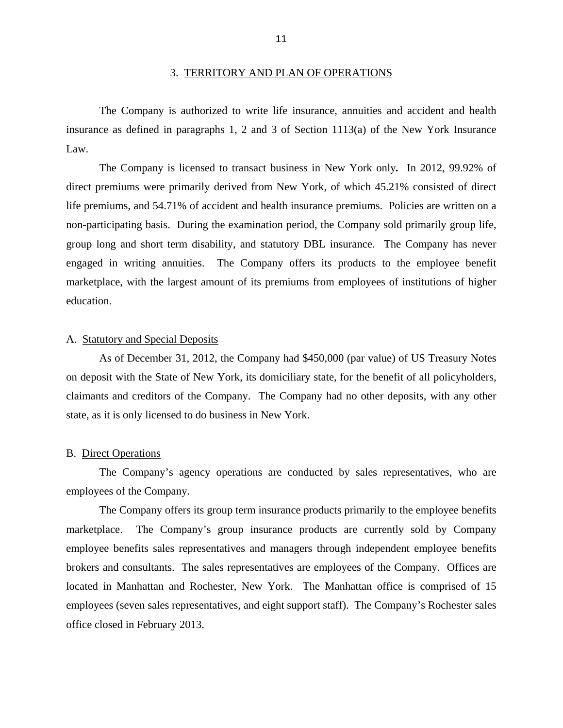#### 3. TERRITORY AND PLAN OF OPERATIONS

<span id="page-13-0"></span>The Company is authorized to write life insurance, annuities and accident and health insurance as defined in paragraphs 1, 2 and 3 of Section 1113(a) of the New York Insurance Law.

The Company is licensed to transact business in New York only*.* In 2012, 99.92% of direct premiums were primarily derived from New York, of which 45.21% consisted of direct life premiums, and 54.71% of accident and health insurance premiums. Policies are written on a non-participating basis. During the examination period, the Company sold primarily group life, group long and short term disability, and statutory DBL insurance. The Company has never engaged in writing annuities. The Company offers its products to the employee benefit marketplace, with the largest amount of its premiums from employees of institutions of higher education.

#### A. Statutory and Special Deposits

As of December 31, 2012, the Company had \$450,000 (par value) of US Treasury Notes on deposit with the State of New York, its domiciliary state, for the benefit of all policyholders, claimants and creditors of the Company. The Company had no other deposits, with any other state, as it is only licensed to do business in New York.

#### B. Direct Operations

The Company's agency operations are conducted by sales representatives, who are employees of the Company.

The Company offers its group term insurance products primarily to the employee benefits marketplace. The Company's group insurance products are currently sold by Company employee benefits sales representatives and managers through independent employee benefits brokers and consultants. The sales representatives are employees of the Company. Offices are located in Manhattan and Rochester, New York. The Manhattan office is comprised of 15 employees (seven sales representatives, and eight support staff). The Company's Rochester sales office closed in February 2013.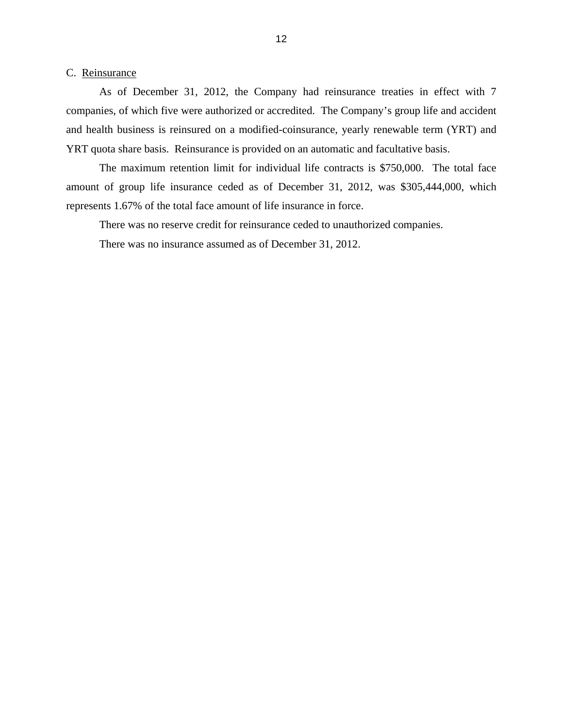#### <span id="page-14-0"></span>C. Reinsurance

As of December 31, 2012, the Company had reinsurance treaties in effect with 7 companies, of which five were authorized or accredited. The Company's group life and accident and health business is reinsured on a modified-coinsurance, yearly renewable term (YRT) and YRT quota share basis. Reinsurance is provided on an automatic and facultative basis.

The maximum retention limit for individual life contracts is \$750,000. The total face amount of group life insurance ceded as of December 31, 2012, was \$305,444,000, which represents 1.67% of the total face amount of life insurance in force.

There was no reserve credit for reinsurance ceded to unauthorized companies.

There was no insurance assumed as of December 31, 2012.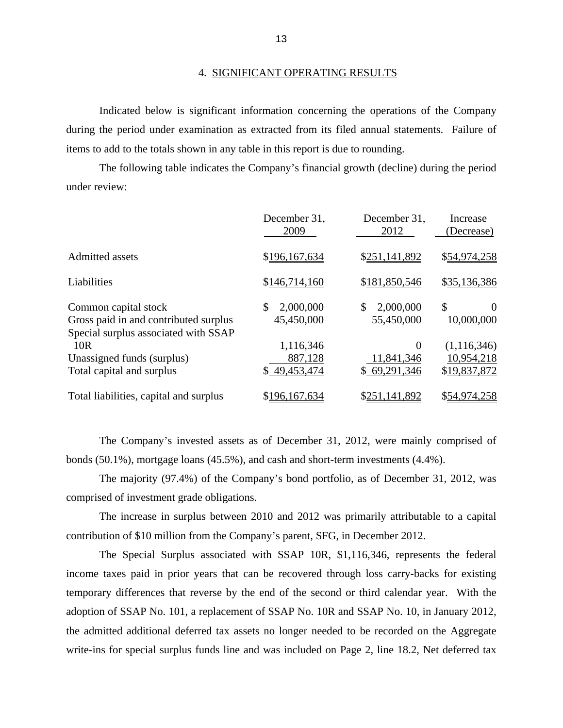Indicated below is significant information concerning the operations of the Company during the period under examination as extracted from its filed annual statements. Failure of items to add to the totals shown in any table in this report is due to rounding.

The following table indicates the Company's financial growth (decline) during the period under review:

|                                        | December 31,  | December 31,   | Increase      |
|----------------------------------------|---------------|----------------|---------------|
|                                        | 2009          | 2012           | (Decrease)    |
| Admitted assets                        | \$196,167,634 | \$251,141,892  | \$54,974,258  |
| Liabilities                            | \$146,714,160 | \$181,850,546  | \$35,136,386  |
| Common capital stock                   | \$            | 2,000,000      | \$            |
| Gross paid in and contributed surplus  | 2,000,000     | \$             | $\theta$      |
| Special surplus associated with SSAP   | 45,450,000    | 55,450,000     | 10,000,000    |
| 10R                                    | 1,116,346     | $\overline{0}$ | (1, 116, 346) |
| Unassigned funds (surplus)             | 887,128       | 11,841,346     | 10,954,218    |
| Total capital and surplus              | \$49,453,474  | \$69,291,346   | \$19,837,872  |
| Total liabilities, capital and surplus | \$196,167,634 | \$251,141,892  | \$54,974,258  |

The Company's invested assets as of December 31, 2012, were mainly comprised of bonds (50.1%), mortgage loans (45.5%), and cash and short-term investments (4.4%).

The majority (97.4%) of the Company's bond portfolio, as of December 31, 2012, was comprised of investment grade obligations.

The increase in surplus between 2010 and 2012 was primarily attributable to a capital contribution of \$10 million from the Company's parent, SFG, in December 2012.

The Special Surplus associated with SSAP 10R, \$1,116,346, represents the federal income taxes paid in prior years that can be recovered through loss carry-backs for existing temporary differences that reverse by the end of the second or third calendar year. With the adoption of SSAP No. 101, a replacement of SSAP No. 10R and SSAP No. 10, in January 2012, the admitted additional deferred tax assets no longer needed to be recorded on the Aggregate write-ins for special surplus funds line and was included on Page 2, line 18.2, Net deferred tax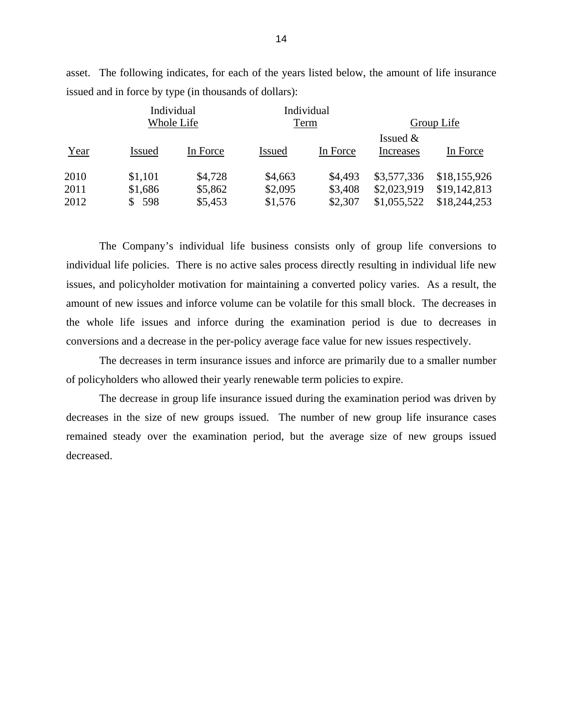|               |          | Individual               |          | <b>Group Life</b>       |              |
|---------------|----------|--------------------------|----------|-------------------------|--------------|
| <b>Issued</b> | In Force | <b>Issued</b>            | In Force | Issued $&$<br>Increases | In Force     |
| \$1,101       | \$4,728  | \$4,663                  | \$4,493  | \$3,577,336             | \$18,155,926 |
| \$1,686       | \$5,862  | \$2,095                  | \$3,408  | \$2,023,919             | \$19,142,813 |
| \$598         | \$5,453  | \$1,576                  | \$2,307  | \$1,055,522             | \$18,244,253 |
|               |          | Individual<br>Whole Life |          | <b>Term</b>             |              |

asset. The following indicates, for each of the years listed below, the amount of life insurance issued and in force by type (in thousands of dollars):

The Company's individual life business consists only of group life conversions to individual life policies. There is no active sales process directly resulting in individual life new issues, and policyholder motivation for maintaining a converted policy varies. As a result, the amount of new issues and inforce volume can be volatile for this small block. The decreases in the whole life issues and inforce during the examination period is due to decreases in conversions and a decrease in the per-policy average face value for new issues respectively.

The decreases in term insurance issues and inforce are primarily due to a smaller number of policyholders who allowed their yearly renewable term policies to expire.

The decrease in group life insurance issued during the examination period was driven by decreases in the size of new groups issued. The number of new group life insurance cases remained steady over the examination period, but the average size of new groups issued decreased.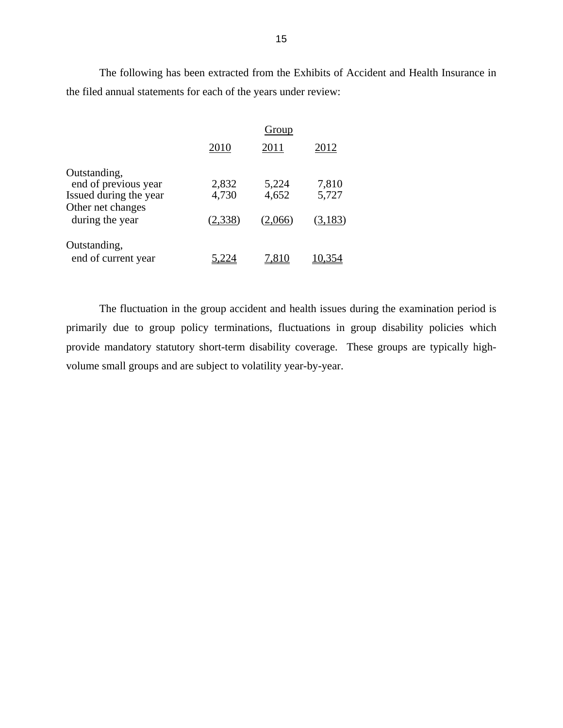The following has been extracted from the Exhibits of Accident and Health Insurance in the filed annual statements for each of the years under review:

|                                                                                     |                | Group          |                |
|-------------------------------------------------------------------------------------|----------------|----------------|----------------|
|                                                                                     | 2010           | 2011           | 2012           |
| Outstanding,<br>end of previous year<br>Issued during the year<br>Other net changes | 2,832<br>4,730 | 5,224<br>4,652 | 7,810<br>5,727 |
| during the year                                                                     | (2,338)        | (2,066)        | (3,183)        |
| Outstanding,<br>end of current year                                                 |                |                |                |

The fluctuation in the group accident and health issues during the examination period is primarily due to group policy terminations, fluctuations in group disability policies which provide mandatory statutory short-term disability coverage. These groups are typically highvolume small groups and are subject to volatility year-by-year.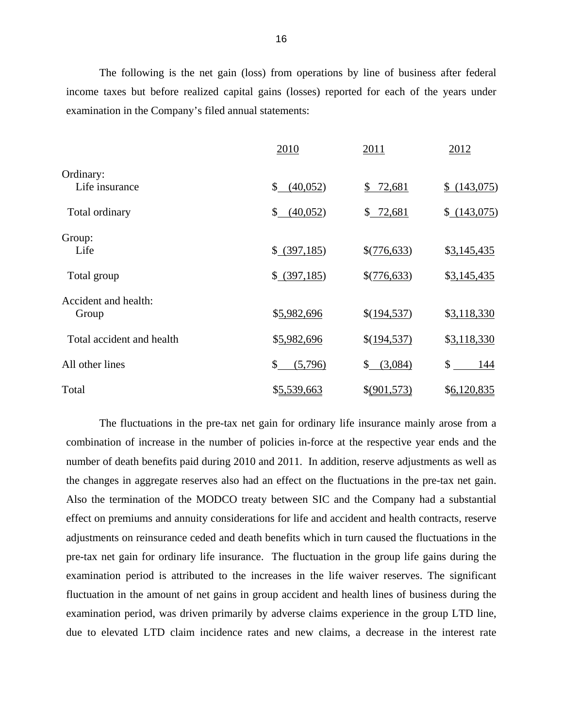The following is the net gain (loss) from operations by line of business after federal income taxes but before realized capital gains (losses) reported for each of the years under examination in the Company's filed annual statements:

|                               | 2010           | 2011          | 2012         |
|-------------------------------|----------------|---------------|--------------|
| Ordinary:<br>Life insurance   | \$<br>(40,052) | \$72,681      | \$ (143,075) |
| Total ordinary                | (40,052)<br>\$ | \$72,681      | \$(143,075)  |
| Group:<br>Life                | \$ (397,185)   | \$(776,633)   | \$3,145,435  |
| Total group                   | \$ (397,185)   | \$(776,633)   | \$3,145,435  |
| Accident and health:<br>Group | \$5,982,696    | \$(194,537)   | \$3,118,330  |
| Total accident and health     | \$5,982,696    | \$(194,537)   | \$3,118,330  |
| All other lines               | \$<br>(5,796)  | (3,084)<br>\$ | \$<br>144    |
| Total                         | \$5,539,663    | \$ (901, 573) | \$6,120,835  |

The fluctuations in the pre-tax net gain for ordinary life insurance mainly arose from a combination of increase in the number of policies in-force at the respective year ends and the number of death benefits paid during 2010 and 2011. In addition, reserve adjustments as well as the changes in aggregate reserves also had an effect on the fluctuations in the pre-tax net gain. Also the termination of the MODCO treaty between SIC and the Company had a substantial effect on premiums and annuity considerations for life and accident and health contracts, reserve adjustments on reinsurance ceded and death benefits which in turn caused the fluctuations in the pre-tax net gain for ordinary life insurance. The fluctuation in the group life gains during the examination period is attributed to the increases in the life waiver reserves. The significant fluctuation in the amount of net gains in group accident and health lines of business during the examination period, was driven primarily by adverse claims experience in the group LTD line, due to elevated LTD claim incidence rates and new claims, a decrease in the interest rate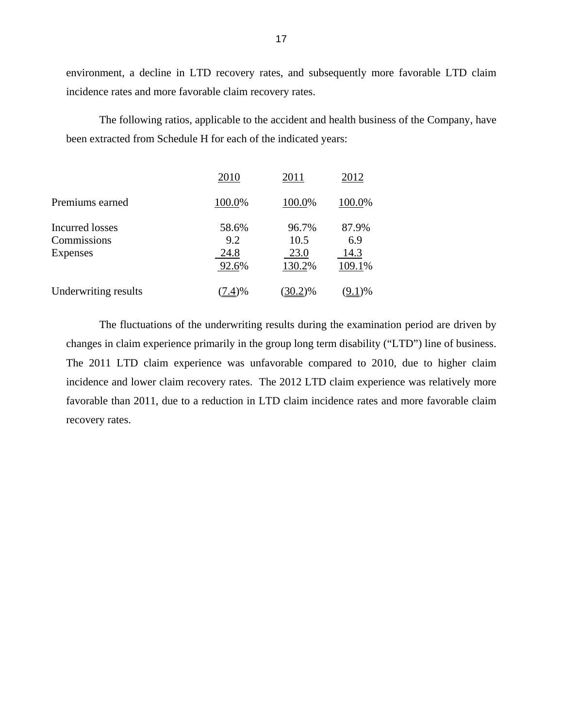environment, a decline in LTD recovery rates, and subsequently more favorable LTD claim incidence rates and more favorable claim recovery rates.

The following ratios, applicable to the accident and health business of the Company, have been extracted from Schedule H for each of the indicated years:

|                                            | 2010                          | 2011                            | 2012                           |
|--------------------------------------------|-------------------------------|---------------------------------|--------------------------------|
| Premiums earned                            | 100.0%                        | 100.0%                          | 100.0%                         |
| Incurred losses<br>Commissions<br>Expenses | 58.6%<br>9.2<br>24.8<br>92.6% | 96.7%<br>10.5<br>23.0<br>130.2% | 87.9%<br>6.9<br>14.3<br>109.1% |
| Underwriting results                       | $(7.4)$ %                     | $(30.2)\%$                      | <u>'9.1</u> )%                 |

The fluctuations of the underwriting results during the examination period are driven by changes in claim experience primarily in the group long term disability ("LTD") line of business. The 2011 LTD claim experience was unfavorable compared to 2010, due to higher claim incidence and lower claim recovery rates. The 2012 LTD claim experience was relatively more favorable than 2011, due to a reduction in LTD claim incidence rates and more favorable claim recovery rates.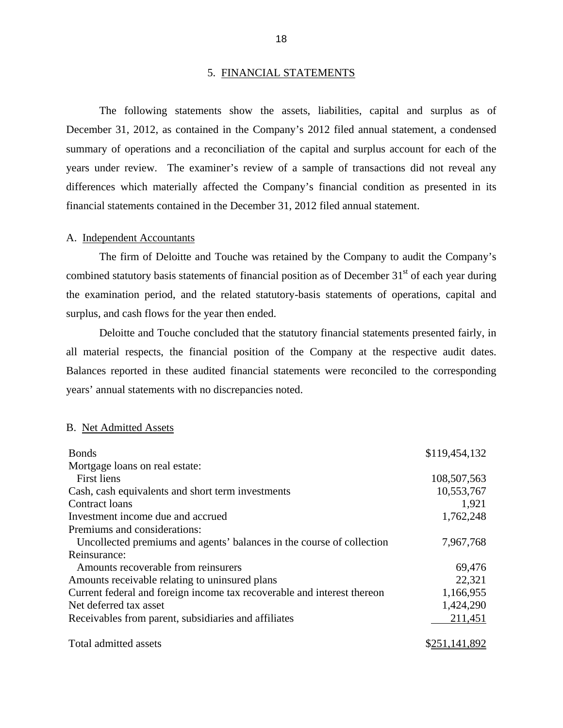#### 5. FINANCIAL STATEMENTS

<span id="page-20-0"></span>The following statements show the assets, liabilities, capital and surplus as of December 31, 2012, as contained in the Company's 2012 filed annual statement, a condensed summary of operations and a reconciliation of the capital and surplus account for each of the years under review. The examiner's review of a sample of transactions did not reveal any differences which materially affected the Company's financial condition as presented in its financial statements contained in the December 31, 2012 filed annual statement.

#### A. Independent Accountants

The firm of Deloitte and Touche was retained by the Company to audit the Company's combined statutory basis statements of financial position as of December  $31<sup>st</sup>$  of each year during the examination period, and the related statutory-basis statements of operations, capital and surplus, and cash flows for the year then ended.

all material respects, the financial position of the Company at the respective audit dates. Deloitte and Touche concluded that the statutory financial statements presented fairly, in Balances reported in these audited financial statements were reconciled to the corresponding years' annual statements with no discrepancies noted.

#### B. Net Admitted Assets

| <b>Bonds</b>                                                            | \$119,454,132 |
|-------------------------------------------------------------------------|---------------|
| Mortgage loans on real estate:                                          |               |
| <b>First liens</b>                                                      | 108,507,563   |
| Cash, cash equivalents and short term investments                       | 10,553,767    |
| Contract loans                                                          | 1,921         |
| Investment income due and accrued                                       | 1,762,248     |
| Premiums and considerations:                                            |               |
| Uncollected premiums and agents' balances in the course of collection   | 7,967,768     |
| Reinsurance:                                                            |               |
| Amounts recoverable from reinsurers                                     | 69,476        |
| Amounts receivable relating to uninsured plans                          | 22,321        |
| Current federal and foreign income tax recoverable and interest thereon | 1,166,955     |
| Net deferred tax asset                                                  | 1,424,290     |
| Receivables from parent, subsidiaries and affiliates                    | 211,451       |
| Total admitted assets                                                   | \$251,141,892 |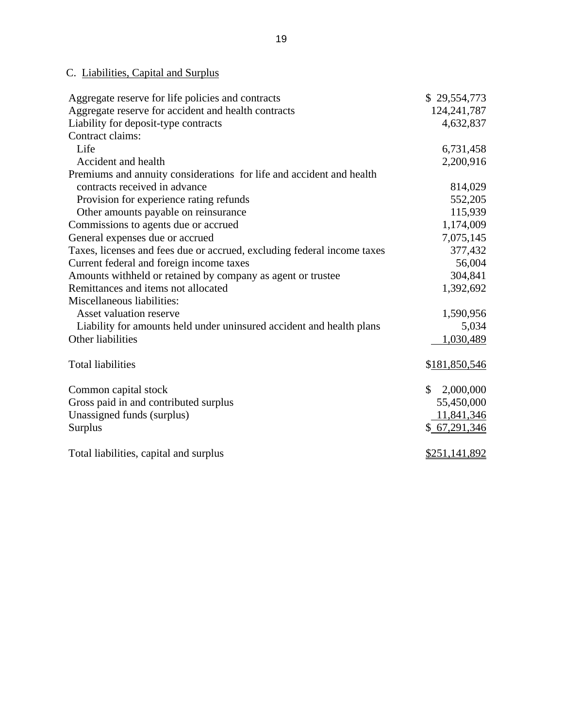# C. Liabilities, Capital and Surplus

| Aggregate reserve for life policies and contracts                       | \$29,554,773              |
|-------------------------------------------------------------------------|---------------------------|
| Aggregate reserve for accident and health contracts                     | 124, 241, 787             |
| Liability for deposit-type contracts                                    | 4,632,837                 |
| Contract claims:                                                        |                           |
| Life                                                                    | 6,731,458                 |
| Accident and health                                                     | 2,200,916                 |
| Premiums and annuity considerations for life and accident and health    |                           |
| contracts received in advance                                           | 814,029                   |
| Provision for experience rating refunds                                 | 552,205                   |
| Other amounts payable on reinsurance                                    | 115,939                   |
| Commissions to agents due or accrued                                    | 1,174,009                 |
| General expenses due or accrued                                         | 7,075,145                 |
| Taxes, licenses and fees due or accrued, excluding federal income taxes | 377,432                   |
| Current federal and foreign income taxes                                | 56,004                    |
| Amounts withheld or retained by company as agent or trustee             | 304,841                   |
| Remittances and items not allocated                                     | 1,392,692                 |
| Miscellaneous liabilities:                                              |                           |
| Asset valuation reserve                                                 | 1,590,956                 |
| Liability for amounts held under uninsured accident and health plans    | 5,034                     |
| Other liabilities                                                       | 1,030,489                 |
| <b>Total liabilities</b>                                                | \$181,850,546             |
| Common capital stock                                                    | 2,000,000<br>$\mathbb{S}$ |
| Gross paid in and contributed surplus                                   | 55,450,000                |
| Unassigned funds (surplus)                                              | 11,841,346                |
| Surplus                                                                 | \$ 67,291,346             |
| Total liabilities, capital and surplus                                  | \$251,141,892             |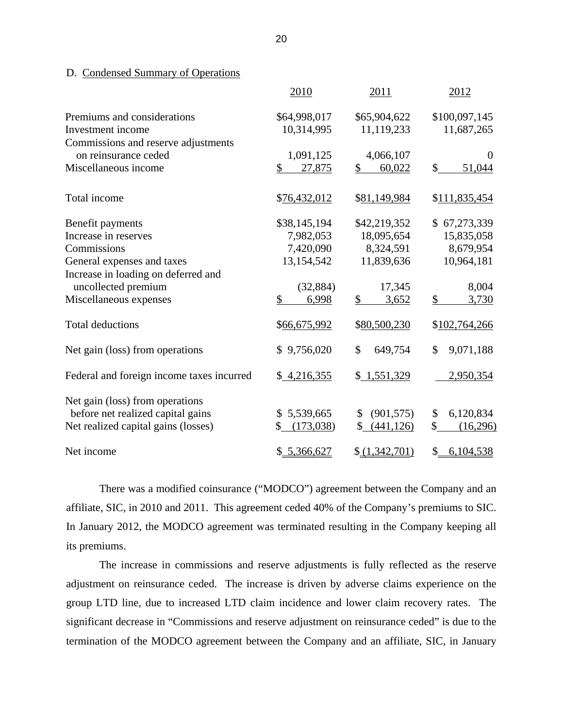<span id="page-22-0"></span>D. Condensed Summary of Operations

|                                                             | 2010                       | 2011                       | 2012                        |
|-------------------------------------------------------------|----------------------------|----------------------------|-----------------------------|
| Premiums and considerations<br>Investment income            | \$64,998,017<br>10,314,995 | \$65,904,622<br>11,119,233 | \$100,097,145<br>11,687,265 |
| Commissions and reserve adjustments<br>on reinsurance ceded | 1,091,125                  | 4,066,107                  | $\overline{0}$              |
| Miscellaneous income                                        | \$<br>27,875               | \$<br>60,022               | \$<br>51,044                |
| Total income                                                | \$76,432,012               | \$81,149,984               | \$111,835,454               |
| Benefit payments                                            | \$38,145,194               | \$42,219,352               | \$67,273,339                |
| Increase in reserves                                        | 7,982,053                  | 18,095,654                 | 15,835,058                  |
| Commissions                                                 | 7,420,090                  | 8,324,591                  | 8,679,954                   |
| General expenses and taxes                                  | 13,154,542                 | 11,839,636                 | 10,964,181                  |
| Increase in loading on deferred and                         |                            |                            |                             |
| uncollected premium                                         | (32, 884)                  | 17,345                     | 8,004                       |
| Miscellaneous expenses                                      | \$<br>6,998                | $\frac{1}{2}$<br>3,652     | $\frac{1}{2}$<br>3,730      |
| <b>Total deductions</b>                                     | \$66,675,992               | \$80,500,230               | \$102,764,266               |
| Net gain (loss) from operations                             | \$9,756,020                | \$<br>649,754              | $\mathcal{S}$<br>9,071,188  |
| Federal and foreign income taxes incurred                   | \$4,216,355                | \$1,551,329                | 2,950,354                   |
| Net gain (loss) from operations                             |                            |                            |                             |
| before net realized capital gains                           | \$5,539,665                | (901, 575)<br>\$           | 6,120,834<br>\$             |
| Net realized capital gains (losses)                         | (173,038)<br>\$            | (441, 126)<br>\$           | \$<br>(16,296)              |
| Net income                                                  | \$5,366,627                | (1,342,701)                | 6,104,538<br>\$             |

There was a modified coinsurance ("MODCO") agreement between the Company and an affiliate, SIC, in 2010 and 2011. This agreement ceded 40% of the Company's premiums to SIC. In January 2012, the MODCO agreement was terminated resulting in the Company keeping all its premiums.

The increase in commissions and reserve adjustments is fully reflected as the reserve adjustment on reinsurance ceded. The increase is driven by adverse claims experience on the group LTD line, due to increased LTD claim incidence and lower claim recovery rates. The significant decrease in "Commissions and reserve adjustment on reinsurance ceded" is due to the termination of the MODCO agreement between the Company and an affiliate, SIC, in January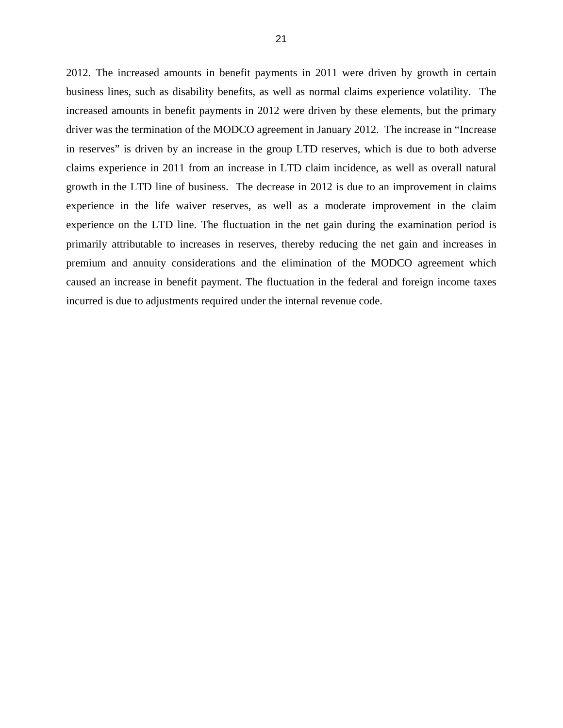2012. The increased amounts in benefit payments in 2011 were driven by growth in certain business lines, such as disability benefits, as well as normal claims experience volatility. The increased amounts in benefit payments in 2012 were driven by these elements, but the primary driver was the termination of the MODCO agreement in January 2012. The increase in "Increase in reserves" is driven by an increase in the group LTD reserves, which is due to both adverse claims experience in 2011 from an increase in LTD claim incidence, as well as overall natural growth in the LTD line of business. The decrease in 2012 is due to an improvement in claims experience in the life waiver reserves, as well as a moderate improvement in the claim experience on the LTD line. The fluctuation in the net gain during the examination period is primarily attributable to increases in reserves, thereby reducing the net gain and increases in premium and annuity considerations and the elimination of the MODCO agreement which caused an increase in benefit payment. The fluctuation in the federal and foreign income taxes incurred is due to adjustments required under the internal revenue code.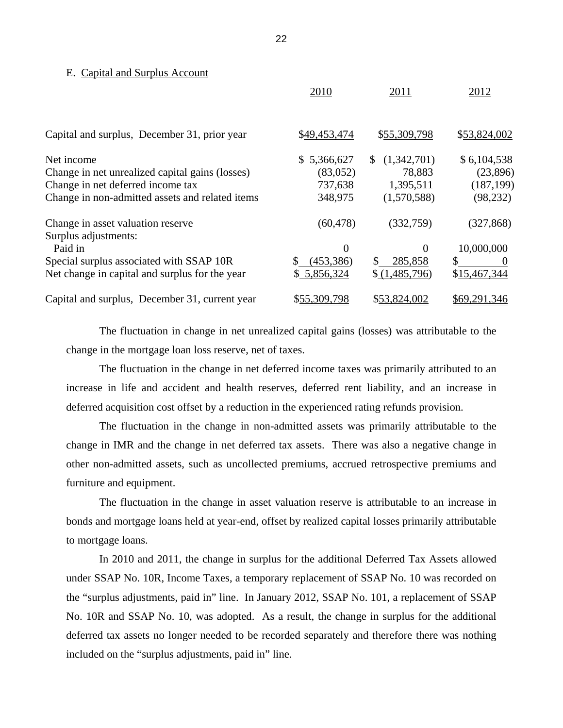#### E. Capital and Surplus Account

|                                                 | 2010                      | 2011              | 2012         |
|-------------------------------------------------|---------------------------|-------------------|--------------|
| Capital and surplus, December 31, prior year    | \$49,453,474              | \$55,309,798      | \$53,824,002 |
| Net income                                      | 5,366,627<br><sup>S</sup> | (1,342,701)<br>S. | \$6,104,538  |
| Change in net unrealized capital gains (losses) | (83,052)                  | 78,883            | (23,896)     |
| Change in net deferred income tax               | 737,638                   | 1,395,511         | (187, 199)   |
| Change in non-admitted assets and related items | 348,975                   | (1,570,588)       | (98, 232)    |
| Change in asset valuation reserve               | (60, 478)                 | (332,759)         | (327, 868)   |
| Surplus adjustments:                            |                           |                   |              |
| Paid in                                         | $\theta$                  | $\theta$          | 10,000,000   |
| Special surplus associated with SSAP 10R        | (453, 386)                | \$<br>285,858     |              |
| Net change in capital and surplus for the year  | \$5,856,324               | \$(1,485,796)     | \$15,467,344 |
| Capital and surplus, December 31, current year  | \$55,309,798              | \$53,824,002      | \$69,291,346 |

The fluctuation in change in net unrealized capital gains (losses) was attributable to the change in the mortgage loan loss reserve, net of taxes.

The fluctuation in the change in net deferred income taxes was primarily attributed to an increase in life and accident and health reserves, deferred rent liability, and an increase in deferred acquisition cost offset by a reduction in the experienced rating refunds provision.

The fluctuation in the change in non-admitted assets was primarily attributable to the change in IMR and the change in net deferred tax assets. There was also a negative change in other non-admitted assets, such as uncollected premiums, accrued retrospective premiums and furniture and equipment.

The fluctuation in the change in asset valuation reserve is attributable to an increase in bonds and mortgage loans held at year-end, offset by realized capital losses primarily attributable to mortgage loans.

In 2010 and 2011, the change in surplus for the additional Deferred Tax Assets allowed under SSAP No. 10R, Income Taxes, a temporary replacement of SSAP No. 10 was recorded on the "surplus adjustments, paid in" line. In January 2012, SSAP No. 101, a replacement of SSAP No. 10R and SSAP No. 10, was adopted. As a result, the change in surplus for the additional deferred tax assets no longer needed to be recorded separately and therefore there was nothing included on the "surplus adjustments, paid in" line.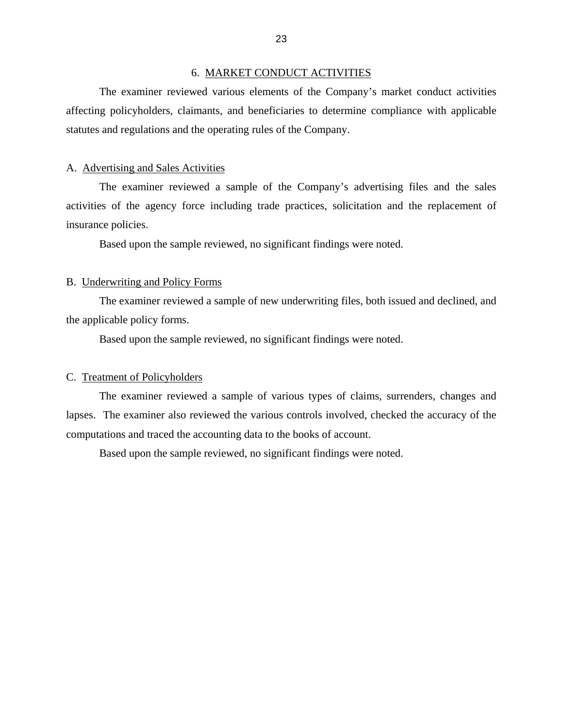#### 6. MARKET CONDUCT ACTIVITIES

<span id="page-25-0"></span>The examiner reviewed various elements of the Company's market conduct activities affecting policyholders, claimants, and beneficiaries to determine compliance with applicable statutes and regulations and the operating rules of the Company.

#### A. Advertising and Sales Activities

The examiner reviewed a sample of the Company's advertising files and the sales activities of the agency force including trade practices, solicitation and the replacement of insurance policies.

Based upon the sample reviewed, no significant findings were noted.

#### B. Underwriting and Policy Forms

The examiner reviewed a sample of new underwriting files, both issued and declined, and the applicable policy forms.

Based upon the sample reviewed, no significant findings were noted.

#### C. Treatment of Policyholders

The examiner reviewed a sample of various types of claims, surrenders, changes and lapses. The examiner also reviewed the various controls involved, checked the accuracy of the computations and traced the accounting data to the books of account.

Based upon the sample reviewed, no significant findings were noted.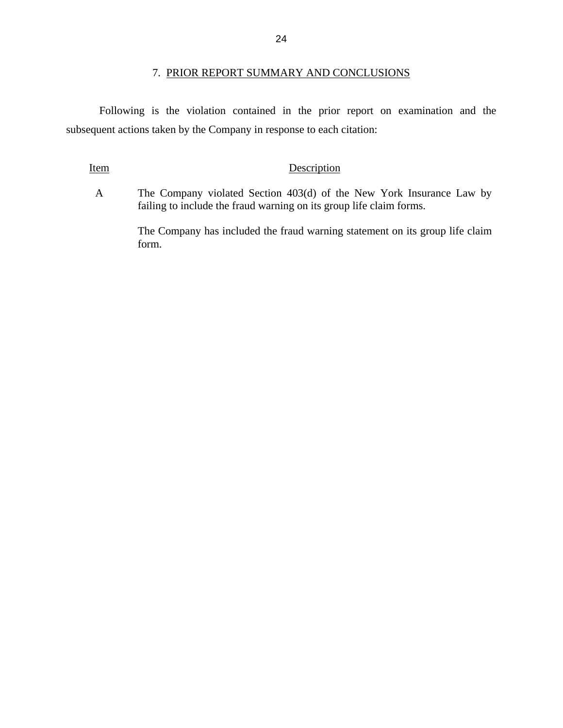Following is the violation contained in the prior report on examination and the subsequent actions taken by the Company in response to each citation:

### Item Description

A The Company violated Section 403(d) of the New York Insurance Law by failing to include the fraud warning on its group life claim forms.

> The Company has included the fraud warning statement on its group life claim form.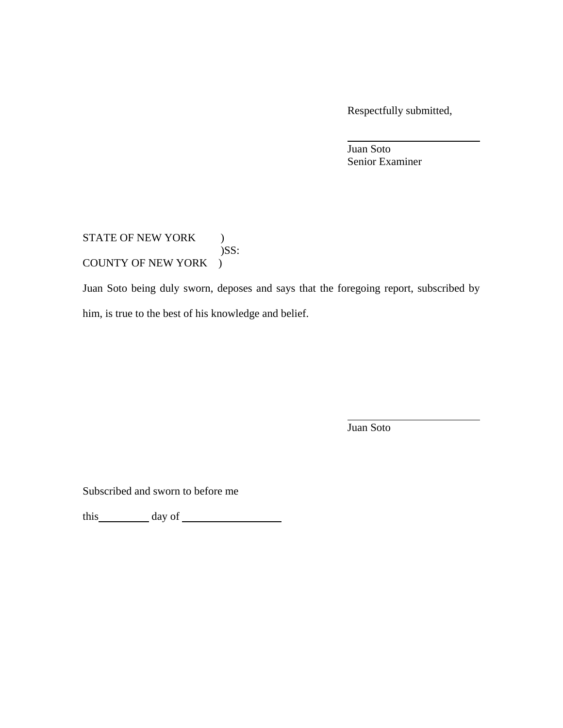Respectfully submitted,

 Juan Soto Senior Examiner

STATE OF NEW YORK )  $)$ SS: COUNTY OF NEW YORK )

Juan Soto being duly sworn, deposes and says that the foregoing report, subscribed by him, is true to the best of his knowledge and belief.

Juan Soto

Subscribed and sworn to before me

this day of